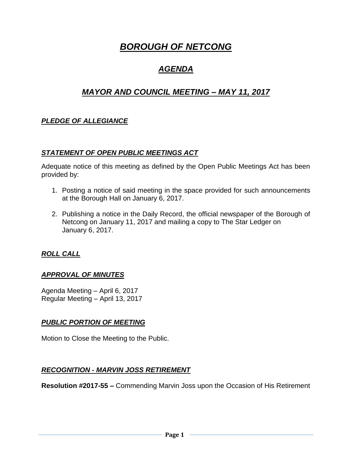# *BOROUGH OF NETCONG*

## *AGENDA*

## *MAYOR AND COUNCIL MEETING – MAY 11, 2017*

## *PLEDGE OF ALLEGIANCE*

#### *STATEMENT OF OPEN PUBLIC MEETINGS ACT*

Adequate notice of this meeting as defined by the Open Public Meetings Act has been provided by:

- 1. Posting a notice of said meeting in the space provided for such announcements at the Borough Hall on January 6, 2017.
- 2. Publishing a notice in the Daily Record, the official newspaper of the Borough of Netcong on January 11, 2017 and mailing a copy to The Star Ledger on January 6, 2017.

#### *ROLL CALL*

#### *APPROVAL OF MINUTES*

Agenda Meeting – April 6, 2017 Regular Meeting – April 13, 2017

#### *PUBLIC PORTION OF MEETING*

Motion to Close the Meeting to the Public.

#### *RECOGNITION - MARVIN JOSS RETIREMENT*

**Resolution #2017-55 –** Commending Marvin Joss upon the Occasion of His Retirement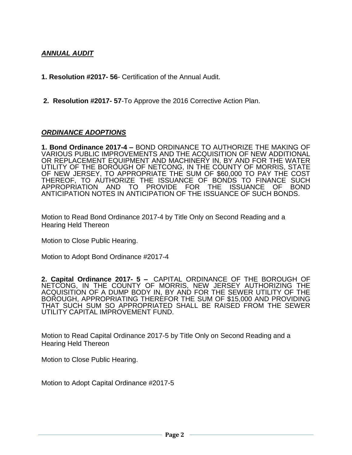## *ANNUAL AUDIT*

**1. Resolution #2017- 56**- Certification of the Annual Audit.

**2. Resolution #2017- 57**-To Approve the 2016 Corrective Action Plan.

#### *ORDINANCE ADOPTIONS*

**1. Bond Ordinance 2017-4 –** BOND ORDINANCE TO AUTHORIZE THE MAKING OF VARIOUS PUBLIC IMPROVEMENTS AND THE ACQUISITION OF NEW ADDITIONAL OR REPLACEMENT EQUIPMENT AND MACHINERY IN, BY AND FOR THE WATER UTILITY OF THE BOROUGH OF NETCONG, IN THE COUNTY OF MORRIS, STATE OF NEW JERSEY, TO APPROPRIATE THE SUM OF \$60,000 TO PAY THE COST THEREOF, TO AUTHORIZE THE ISSUANCE OF BONDS TO FINANCE SUCH APPROPRIATION AND TO PROVIDE FOR THE ISSUANCE OF ANTICIPATION NOTES IN ANTICIPATION OF THE ISSUANCE OF SUCH BONDS.

Motion to Read Bond Ordinance 2017-4 by Title Only on Second Reading and a Hearing Held Thereon

Motion to Close Public Hearing.

Motion to Adopt Bond Ordinance #2017-4

**2. Capital Ordinance 2017- 5 –** CAPITAL ORDINANCE OF THE BOROUGH OF NETCONG, IN THE COUNTY OF MORRIS, NEW JERSEY AUTHORIZING THE ACQUISITION OF A DUMP BODY IN, BY AND FOR THE SEWER UTILITY OF THE BOROUGH, APPROPRIATING THEREFOR THE SUM OF \$15,000 AND PROVIDING THAT SUCH SUM SO APPROPRIATED SHALL BE RAISED FROM THE SEWER UTILITY CAPITAL IMPROVEMENT FUND.

Motion to Read Capital Ordinance 2017-5 by Title Only on Second Reading and a Hearing Held Thereon

Motion to Close Public Hearing.

Motion to Adopt Capital Ordinance #2017-5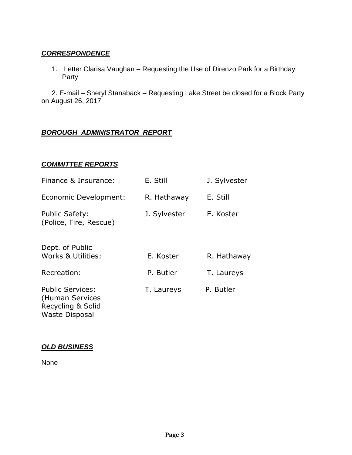## *CORRESPONDENCE*

1. Letter Clarisa Vaughan – Requesting the Use of Direnzo Park for a Birthday Party

2. E-mail – Sheryl Stanaback – Requesting Lake Street be closed for a Block Party on August 26, 2017

## *BOROUGH ADMINISTRATOR REPORT*

#### *COMMITTEE REPORTS*

| Finance & Insurance:                                            | E. Still     | J. Sylvester |
|-----------------------------------------------------------------|--------------|--------------|
| Economic Development:                                           | R. Hathaway  | E. Still     |
| Public Safety:<br>(Police, Fire, Rescue)                        | J. Sylvester | E. Koster    |
| Dept. of Public<br><b>Works &amp; Utilities:</b>                | E. Koster    | R. Hathaway  |
| Recreation:                                                     | P. Butler    | T. Laureys   |
| <b>Public Services:</b><br>(Human Services<br>Recycling & Solid | T. Laureys   | P. Butler    |

#### *OLD BUSINESS*

Waste Disposal

None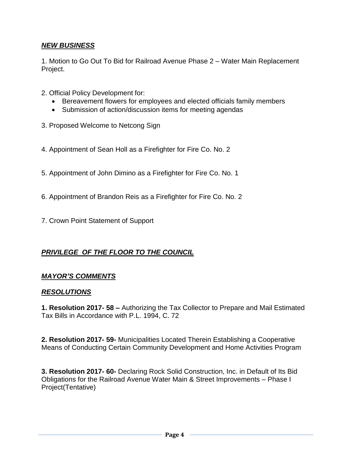## *NEW BUSINESS*

1. Motion to Go Out To Bid for Railroad Avenue Phase 2 – Water Main Replacement Project.

- 2. Official Policy Development for:
	- Bereavement flowers for employees and elected officials family members
	- Submission of action/discussion items for meeting agendas
- 3. Proposed Welcome to Netcong Sign
- 4. Appointment of Sean Holl as a Firefighter for Fire Co. No. 2
- 5. Appointment of John Dimino as a Firefighter for Fire Co. No. 1
- 6. Appointment of Brandon Reis as a Firefighter for Fire Co. No. 2
- 7. Crown Point Statement of Support

#### *PRIVILEGE OF THE FLOOR TO THE COUNCIL*

#### *MAYOR'S COMMENTS*

#### *RESOLUTIONS*

**1. Resolution 2017- 58 –** Authorizing the Tax Collector to Prepare and Mail Estimated Tax Bills in Accordance with P.L. 1994, C. 72

**2. Resolution 2017- 59-** Municipalities Located Therein Establishing a Cooperative Means of Conducting Certain Community Development and Home Activities Program

**3. Resolution 2017- 60-** Declaring Rock Solid Construction, Inc. in Default of Its Bid Obligations for the Railroad Avenue Water Main & Street Improvements – Phase I Project(Tentative)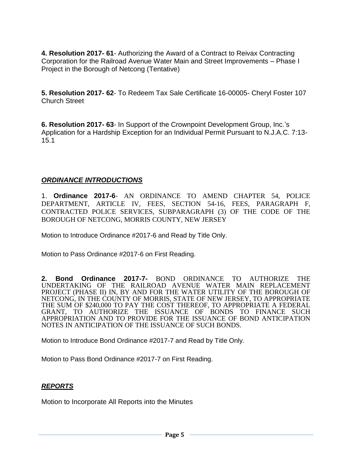**4. Resolution 2017- 61**- Authorizing the Award of a Contract to Reivax Contracting Corporation for the Railroad Avenue Water Main and Street Improvements – Phase I Project in the Borough of Netcong (Tentative)

**5. Resolution 2017- 62**- To Redeem Tax Sale Certificate 16-00005- Cheryl Foster 107 Church Street

**6. Resolution 2017- 63**- In Support of the Crownpoint Development Group, Inc.'s Application for a Hardship Exception for an Individual Permit Pursuant to N.J.A.C. 7:13- 15.1

#### *ORDINANCE INTRODUCTIONS*

1. **Ordinance 2017-6**- AN ORDINANCE TO AMEND CHAPTER 54, POLICE DEPARTMENT, ARTICLE IV, FEES, SECTION 54-16, FEES, PARAGRAPH F, CONTRACTED POLICE SERVICES, SUBPARAGRAPH (3) OF THE CODE OF THE BOROUGH OF NETCONG, MORRIS COUNTY, NEW JERSEY

Motion to Introduce Ordinance #2017-6 and Read by Title Only.

Motion to Pass Ordinance #2017-6 on First Reading.

**2. Bond Ordinance 2017-7-** BOND ORDINANCE TO AUTHORIZE THE UNDERTAKING OF THE RAILROAD AVENUE WATER MAIN REPLACEMENT PROJECT (PHASE II) IN, BY AND FOR THE WATER UTILITY OF THE BOROUGH OF NETCONG, IN THE COUNTY OF MORRIS, STATE OF NEW JERSEY, TO APPROPRIATE THE SUM OF \$240,000 TO PAY THE COST THEREOF, TO APPROPRIATE A FEDERAL GRANT, TO AUTHORIZE THE ISSUANCE OF BONDS TO FINANCE SUCH APPROPRIATION AND TO PROVIDE FOR THE ISSUANCE OF BOND ANTICIPATION NOTES IN ANTICIPATION OF THE ISSUANCE OF SUCH BONDS.

Motion to Introduce Bond Ordinance #2017-7 and Read by Title Only.

Motion to Pass Bond Ordinance #2017-7 on First Reading.

## *REPORTS*

Motion to Incorporate All Reports into the Minutes